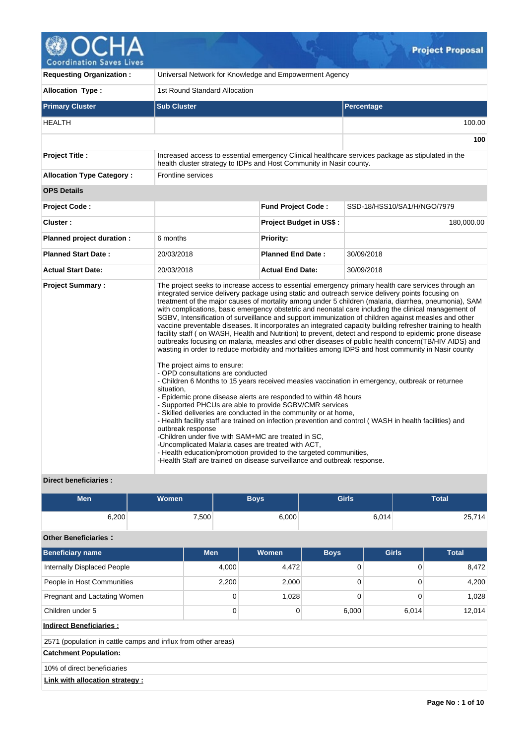

| <b>Requesting Organization:</b>  | Universal Network for Knowledge and Empowerment Agency                                                                                                                                                                                                                                                                                                                                                                                                                                                                                                               |                                |                                                                                                                                                                                                                                                                                                                                                                                                                                                                                                                                                                                                                                                                                                                                                                                                                                                                                                                                                                                                                                                                                                                                                                                       |  |  |  |  |  |
|----------------------------------|----------------------------------------------------------------------------------------------------------------------------------------------------------------------------------------------------------------------------------------------------------------------------------------------------------------------------------------------------------------------------------------------------------------------------------------------------------------------------------------------------------------------------------------------------------------------|--------------------------------|---------------------------------------------------------------------------------------------------------------------------------------------------------------------------------------------------------------------------------------------------------------------------------------------------------------------------------------------------------------------------------------------------------------------------------------------------------------------------------------------------------------------------------------------------------------------------------------------------------------------------------------------------------------------------------------------------------------------------------------------------------------------------------------------------------------------------------------------------------------------------------------------------------------------------------------------------------------------------------------------------------------------------------------------------------------------------------------------------------------------------------------------------------------------------------------|--|--|--|--|--|
| <b>Allocation Type:</b>          | 1st Round Standard Allocation                                                                                                                                                                                                                                                                                                                                                                                                                                                                                                                                        |                                |                                                                                                                                                                                                                                                                                                                                                                                                                                                                                                                                                                                                                                                                                                                                                                                                                                                                                                                                                                                                                                                                                                                                                                                       |  |  |  |  |  |
| <b>Primary Cluster</b>           | <b>Sub Cluster</b>                                                                                                                                                                                                                                                                                                                                                                                                                                                                                                                                                   |                                | Percentage                                                                                                                                                                                                                                                                                                                                                                                                                                                                                                                                                                                                                                                                                                                                                                                                                                                                                                                                                                                                                                                                                                                                                                            |  |  |  |  |  |
| HEALTH                           |                                                                                                                                                                                                                                                                                                                                                                                                                                                                                                                                                                      |                                | 100.00                                                                                                                                                                                                                                                                                                                                                                                                                                                                                                                                                                                                                                                                                                                                                                                                                                                                                                                                                                                                                                                                                                                                                                                |  |  |  |  |  |
|                                  |                                                                                                                                                                                                                                                                                                                                                                                                                                                                                                                                                                      |                                | 100                                                                                                                                                                                                                                                                                                                                                                                                                                                                                                                                                                                                                                                                                                                                                                                                                                                                                                                                                                                                                                                                                                                                                                                   |  |  |  |  |  |
| Project Title :                  | health cluster strategy to IDPs and Host Community in Nasir county.                                                                                                                                                                                                                                                                                                                                                                                                                                                                                                  |                                | Increased access to essential emergency Clinical healthcare services package as stipulated in the                                                                                                                                                                                                                                                                                                                                                                                                                                                                                                                                                                                                                                                                                                                                                                                                                                                                                                                                                                                                                                                                                     |  |  |  |  |  |
| <b>Allocation Type Category:</b> | Frontline services                                                                                                                                                                                                                                                                                                                                                                                                                                                                                                                                                   |                                |                                                                                                                                                                                                                                                                                                                                                                                                                                                                                                                                                                                                                                                                                                                                                                                                                                                                                                                                                                                                                                                                                                                                                                                       |  |  |  |  |  |
| <b>OPS Details</b>               |                                                                                                                                                                                                                                                                                                                                                                                                                                                                                                                                                                      |                                |                                                                                                                                                                                                                                                                                                                                                                                                                                                                                                                                                                                                                                                                                                                                                                                                                                                                                                                                                                                                                                                                                                                                                                                       |  |  |  |  |  |
| <b>Project Code:</b>             |                                                                                                                                                                                                                                                                                                                                                                                                                                                                                                                                                                      | <b>Fund Project Code:</b>      | SSD-18/HSS10/SA1/H/NGO/7979                                                                                                                                                                                                                                                                                                                                                                                                                                                                                                                                                                                                                                                                                                                                                                                                                                                                                                                                                                                                                                                                                                                                                           |  |  |  |  |  |
| Cluster:                         |                                                                                                                                                                                                                                                                                                                                                                                                                                                                                                                                                                      | <b>Project Budget in US\$:</b> | 180,000.00                                                                                                                                                                                                                                                                                                                                                                                                                                                                                                                                                                                                                                                                                                                                                                                                                                                                                                                                                                                                                                                                                                                                                                            |  |  |  |  |  |
| Planned project duration :       | 6 months                                                                                                                                                                                                                                                                                                                                                                                                                                                                                                                                                             | Priority:                      |                                                                                                                                                                                                                                                                                                                                                                                                                                                                                                                                                                                                                                                                                                                                                                                                                                                                                                                                                                                                                                                                                                                                                                                       |  |  |  |  |  |
| <b>Planned Start Date:</b>       | 20/03/2018                                                                                                                                                                                                                                                                                                                                                                                                                                                                                                                                                           | <b>Planned End Date:</b>       | 30/09/2018                                                                                                                                                                                                                                                                                                                                                                                                                                                                                                                                                                                                                                                                                                                                                                                                                                                                                                                                                                                                                                                                                                                                                                            |  |  |  |  |  |
| <b>Actual Start Date:</b>        | 20/03/2018                                                                                                                                                                                                                                                                                                                                                                                                                                                                                                                                                           | <b>Actual End Date:</b>        | 30/09/2018                                                                                                                                                                                                                                                                                                                                                                                                                                                                                                                                                                                                                                                                                                                                                                                                                                                                                                                                                                                                                                                                                                                                                                            |  |  |  |  |  |
| <b>Project Summary:</b>          | The project aims to ensure:<br>- OPD consultations are conducted<br>situation.<br>- Epidemic prone disease alerts are responded to within 48 hours<br>- Supported PHCUs are able to provide SGBV/CMR services<br>- Skilled deliveries are conducted in the community or at home,<br>outbreak response<br>-Children under five with SAM+MC are treated in SC,<br>-Uncomplicated Malaria cases are treated with ACT,<br>- Health education/promotion provided to the targeted communities,<br>-Health Staff are trained on disease surveillance and outbreak response. |                                | The project seeks to increase access to essential emergency primary health care services through an<br>integrated service delivery package using static and outreach service delivery points focusing on<br>treatment of the major causes of mortality among under 5 children (malaria, diarrhea, pneumonia), SAM<br>with complications, basic emergency obstetric and neonatal care including the clinical management of<br>SGBV, Intensification of surveillance and support immunization of children against measles and other<br>vaccine preventable diseases. It incorporates an integrated capacity building refresher training to health<br>facility staff (on WASH, Health and Nutrition) to prevent, detect and respond to epidemic prone disease<br>outbreaks focusing on malaria, measles and other diseases of public health concern(TB/HIV AIDS) and<br>wasting in order to reduce morbidity and mortalities among IDPS and host community in Nasir county<br>- Children 6 Months to 15 years received measles vaccination in emergency, outbreak or returnee<br>- Health facility staff are trained on infection prevention and control (WASH in health facilities) and |  |  |  |  |  |

**Direct beneficiaries :**

| <b>Men</b> | Women <sup>1</sup> | <b>Boys</b> | <b>Girls</b> | <b>Total</b> |
|------------|--------------------|-------------|--------------|--------------|
| 6,200      | 7,500              | 6,000       | 6,014        | 25,714       |

# **Other Beneficiaries :**

| <b>Beneficiary name</b>                                       | <b>Men</b> | <b>Women</b> | <b>Boys</b> | <b>Girls</b> | <b>Total</b> |  |  |  |  |  |  |
|---------------------------------------------------------------|------------|--------------|-------------|--------------|--------------|--|--|--|--|--|--|
| <b>Internally Displaced People</b>                            | 4,000      | 4,472        | 0           | 0            | 8,472        |  |  |  |  |  |  |
| People in Host Communities                                    | 2,200      | 2,000        | 0           |              | 4,200        |  |  |  |  |  |  |
| Pregnant and Lactating Women                                  | 0          | 1,028        | 0           | 0            | 1,028        |  |  |  |  |  |  |
| Children under 5                                              | 0          | 0            | 6,000       | 6,014        | 12,014       |  |  |  |  |  |  |
| <b>Indirect Beneficiaries:</b>                                |            |              |             |              |              |  |  |  |  |  |  |
| 2571 (population in cattle camps and influx from other areas) |            |              |             |              |              |  |  |  |  |  |  |
| <b>Catchment Population:</b>                                  |            |              |             |              |              |  |  |  |  |  |  |
| 10% of direct beneficiaries                                   |            |              |             |              |              |  |  |  |  |  |  |
| Link with allocation strategy :                               |            |              |             |              |              |  |  |  |  |  |  |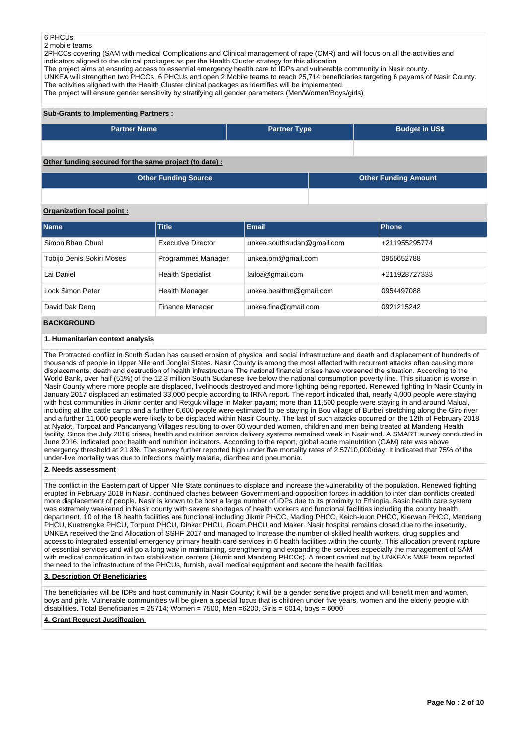## 6 PHCUs

2 mobile teams

2PHCCs covering (SAM with medical Complications and Clinical management of rape (CMR) and will focus on all the activities and indicators aligned to the clinical packages as per the Health Cluster strategy for this allocation

The project aims at ensuring access to essential emergency health care to IDPs and vulnerable community in Nasir county.

UNKEA will strengthen two PHCCs, 6 PHCUs and open 2 Mobile teams to reach 25,714 beneficiaries targeting 6 payams of Nasir County. The activities aligned with the Health Cluster clinical packages as identifies will be implemented.

The project will ensure gender sensitivity by stratifying all gender parameters (Men/Women/Boys/girls)

## **Sub-Grants to Implementing Partners :**

| <b>Partner Name</b>                                   | <b>Partner Type</b> | <b>Budget in US\$</b>       |
|-------------------------------------------------------|---------------------|-----------------------------|
|                                                       |                     |                             |
| Other funding secured for the same project (to date): |                     |                             |
| <b>Other Funding Source</b>                           |                     | <b>Other Funding Amount</b> |

## **Organization focal point :**

| <b>Name</b>               | <b>Title</b>             | Email                      | Phone         |
|---------------------------|--------------------------|----------------------------|---------------|
| Simon Bhan Chuol          | Executive Director       | unkea.southsudan@gmail.com | +211955295774 |
| Tobijo Denis Sokiri Moses | Programmes Manager       | unkea.pm@gmail.com         | 0955652788    |
| Lai Daniel                | <b>Health Specialist</b> | lailoa@gmail.com           | +211928727333 |
| Lock Simon Peter          | Health Manager           | unkea.healthm@gmail.com    | 0954497088    |
| David Dak Deng            | <b>Finance Manager</b>   | unkea.fina@gmail.com       | 0921215242    |
| <b>BAAVABAILLE</b>        |                          |                            |               |

## **BACKGROUND**

## **1. Humanitarian context analysis**

The Protracted conflict in South Sudan has caused erosion of physical and social infrastructure and death and displacement of hundreds of thousands of people in Upper Nile and Jonglei States. Nasir County is among the most affected with recurrent attacks often causing more displacements, death and destruction of health infrastructure The national financial crises have worsened the situation. According to the World Bank, over half (51%) of the 12.3 million South Sudanese live below the national consumption poverty line. This situation is worse in Nasir County where more people are displaced, livelihoods destroyed and more fighting being reported. Renewed fighting In Nasir County in January 2017 displaced an estimated 33,000 people according to IRNA report. The report indicated that, nearly 4,000 people were staying with host communities in Jikmir center and Retguk village in Maker payam; more than 11,500 people were staying in and around Malual, including at the cattle camp; and a further 6,600 people were estimated to be staying in Bou village of Burbei stretching along the Giro river and a further 11,000 people were likely to be displaced within Nasir County. The last of such attacks occurred on the 12th of February 2018 at Nyatot, Torpoat and Pandanyang Villages resulting to over 60 wounded women, children and men being treated at Mandeng Health facility. Since the July 2016 crises, health and nutrition service delivery systems remained weak in Nasir and. A SMART survey conducted in June 2016, indicated poor health and nutrition indicators. According to the report, global acute malnutrition (GAM) rate was above emergency threshold at 21.8%. The survey further reported high under five mortality rates of 2.57/10,000/day. It indicated that 75% of the under-five mortality was due to infections mainly malaria, diarrhea and pneumonia.

## **2. Needs assessment**

The conflict in the Eastern part of Upper Nile State continues to displace and increase the vulnerability of the population. Renewed fighting erupted in February 2018 in Nasir, continued clashes between Government and opposition forces in addition to inter clan conflicts created more displacement of people. Nasir is known to be host a large number of IDPs due to its proximity to Ethiopia. Basic health care system was extremely weakened in Nasir county with severe shortages of health workers and functional facilities including the county health department. 10 of the 18 health facilities are functional including Jikmir PHCC, Mading PHCC, Keich-kuon PHCC, Kierwan PHCC, Mandeng PHCU, Kuetrengke PHCU, Torpuot PHCU, Dinkar PHCU, Roam PHCU and Maker. Nasir hospital remains closed due to the insecurity. UNKEA received the 2nd Allocation of SSHF 2017 and managed to Increase the number of skilled health workers, drug supplies and access to integrated essential emergency primary health care services in 6 health facilities within the county. This allocation prevent rapture of essential services and will go a long way in maintaining, strengthening and expanding the services especially the management of SAM with medical complication in two stabilization centers (Jikmir and Mandeng PHCCs). A recent carried out by UNKEA's M&E team reported the need to the infrastructure of the PHCUs, furnish, avail medical equipment and secure the health facilities.

## **3. Description Of Beneficiaries**

The beneficiaries will be IDPs and host community in Nasir County; it will be a gender sensitive project and will benefit men and women, boys and girls. Vulnerable communities will be given a special focus that is children under five years, women and the elderly people with disabilities. Total Beneficiaries =  $25714$ ; Women =  $7500$ , Men = $6200$ , Girls =  $6014$ , boys =  $6000$ 

## **4. Grant Request Justification**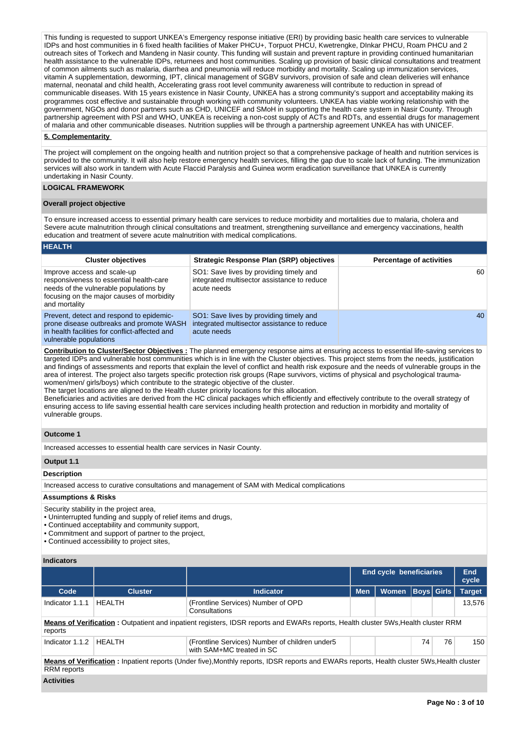This funding is requested to support UNKEA's Emergency response initiative (ERI) by providing basic health care services to vulnerable IDPs and host communities in 6 fixed health facilities of Maker PHCU+, Torpuot PHCU, Kwetrengke, DInkar PHCU, Roam PHCU and 2 outreach sites of Torkech and Mandeng in Nasir county. This funding will sustain and prevent rapture in providing continued humanitarian health assistance to the vulnerable IDPs, returnees and host communities. Scaling up provision of basic clinical consultations and treatment of common ailments such as malaria, diarrhea and pneumonia will reduce morbidity and mortality. Scaling up immunization services, vitamin A supplementation, deworming, IPT, clinical management of SGBV survivors, provision of safe and clean deliveries will enhance maternal, neonatal and child health, Accelerating grass root level community awareness will contribute to reduction in spread of communicable diseases. With 15 years existence in Nasir County, UNKEA has a strong community's support and acceptability making its programmes cost effective and sustainable through working with community volunteers. UNKEA has viable working relationship with the government, NGOs and donor partners such as CHD, UNICEF and SMoH in supporting the health care system in Nasir County. Through partnership agreement with PSI and WHO, UNKEA is receiving a non-cost supply of ACTs and RDTs, and essential drugs for management of malaria and other communicable diseases. Nutrition supplies will be through a partnership agreement UNKEA has with UNICEF.

## **5. Complementarity**

The project will complement on the ongoing health and nutrition project so that a comprehensive package of health and nutrition services is provided to the community. It will also help restore emergency health services, filling the gap due to scale lack of funding. The immunization services will also work in tandem with Acute Flaccid Paralysis and Guinea worm eradication surveillance that UNKEA is currently undertaking in Nasir County.

## **LOGICAL FRAMEWORK**

## **Overall project objective**

To ensure increased access to essential primary health care services to reduce morbidity and mortalities due to malaria, cholera and Severe acute malnutrition through clinical consultations and treatment, strengthening surveillance and emergency vaccinations, health education and treatment of severe acute malnutrition with medical complications.

#### **HEALTH**

| <b>Cluster objectives</b>                                                                                                                                                      | <b>Strategic Response Plan (SRP) objectives</b>                                                       | <b>Percentage of activities</b> |
|--------------------------------------------------------------------------------------------------------------------------------------------------------------------------------|-------------------------------------------------------------------------------------------------------|---------------------------------|
| Improve access and scale-up<br>responsiveness to essential health-care<br>needs of the vulnerable populations by<br>focusing on the major causes of morbidity<br>and mortality | SO1: Save lives by providing timely and<br>integrated multisector assistance to reduce<br>acute needs | 60                              |
| Prevent, detect and respond to epidemic-<br>prone disease outbreaks and promote WASH<br>in health facilities for conflict-affected and<br>vulnerable populations               | SO1: Save lives by providing timely and<br>integrated multisector assistance to reduce<br>acute needs | 40                              |

**Contribution to Cluster/Sector Objectives :** The planned emergency response aims at ensuring access to essential life-saving services to targeted IDPs and vulnerable host communities which is in line with the Cluster objectives. This project stems from the needs, justification and findings of assessments and reports that explain the level of conflict and health risk exposure and the needs of vulnerable groups in the area of interest. The project also targets specific protection risk groups (Rape survivors, victims of physical and psychological traumawomen/men/ girls/boys) which contribute to the strategic objective of the cluster.

The target locations are aligned to the Health cluster priority locations for this allocation.

Beneficiaries and activities are derived from the HC clinical packages which efficiently and effectively contribute to the overall strategy of ensuring access to life saving essential health care services including health protection and reduction in morbidity and mortality of vulnerable groups.

## **Outcome 1**

Increased accesses to essential health care services in Nasir County.

# **Output 1.1**

## **Description**

Increased access to curative consultations and management of SAM with Medical complications

### **Assumptions & Risks**

Security stability in the project area,

• Uninterrupted funding and supply of relief items and drugs,

• Continued acceptability and community support,

• Commitment and support of partner to the project,

• Continued accessibility to project sites,

## **Indicators**

|                                                                                                                                                                  |                |                                                                              | End cycle beneficiaries | End<br>cycle |                   |    |               |  |  |  |  |
|------------------------------------------------------------------------------------------------------------------------------------------------------------------|----------------|------------------------------------------------------------------------------|-------------------------|--------------|-------------------|----|---------------|--|--|--|--|
| Code                                                                                                                                                             | <b>Cluster</b> | <b>Indicator</b>                                                             | <b>Men</b>              | Women        | <b>Boys Girls</b> |    | <b>Target</b> |  |  |  |  |
| Indicator 1.1.1                                                                                                                                                  | <b>HEALTH</b>  | (Frontline Services) Number of OPD<br>Consultations                          |                         |              |                   |    | 13.576        |  |  |  |  |
| Means of Verification: Outpatient and inpatient registers, IDSR reports and EWARs reports, Health cluster 5Ws, Health cluster RRM<br>reports                     |                |                                                                              |                         |              |                   |    |               |  |  |  |  |
| Indicator 1.1.2                                                                                                                                                  | HFAI TH        | (Frontline Services) Number of children under 5<br>with SAM+MC treated in SC |                         |              | 74                | 76 | 150           |  |  |  |  |
| Means of Verification: Inpatient reports (Under five), Monthly reports, IDSR reports and EWARs reports, Health cluster 5Ws, Health cluster<br><b>RRM</b> reports |                |                                                                              |                         |              |                   |    |               |  |  |  |  |

#### **Activities**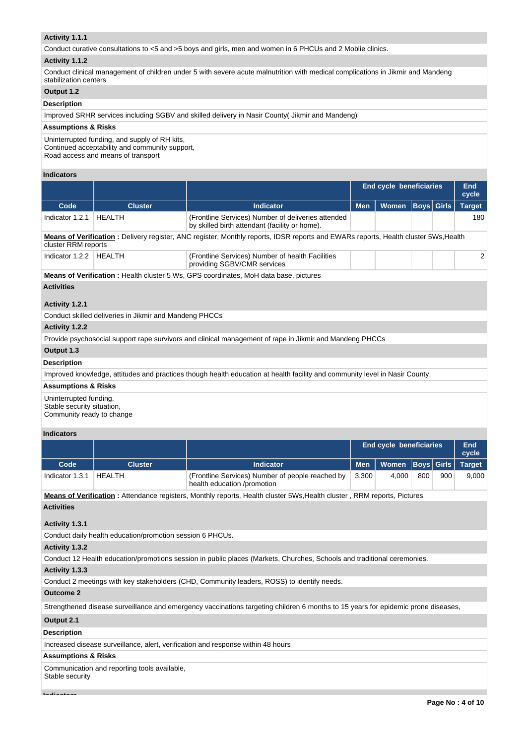## **Activity 1.1.1**

Conduct curative consultations to <5 and >5 boys and girls, men and women in 6 PHCUs and 2 Moblie clinics.

#### **Activity 1.1.2**

Conduct clinical management of children under 5 with severe acute malnutrition with medical complications in Jikmir and Mandeng stabilization centers

## **Output 1.2**

## **Description**

Improved SRHR services including SGBV and skilled delivery in Nasir County( Jikmir and Mandeng)

## **Assumptions & Risks**

Uninterrupted funding, and supply of RH kits, Continued acceptability and community support, Road access and means of transport

#### **Indicators**

|                                                                                                                                                            |                |                                                                                                      | <b>End cycle beneficiaries</b> |              |                   |  | End<br>cycle  |  |  |  |  |
|------------------------------------------------------------------------------------------------------------------------------------------------------------|----------------|------------------------------------------------------------------------------------------------------|--------------------------------|--------------|-------------------|--|---------------|--|--|--|--|
| Code                                                                                                                                                       | <b>Cluster</b> | <b>Indicator</b>                                                                                     | <b>Men</b>                     | <b>Women</b> | <b>Boys Girls</b> |  | <b>Target</b> |  |  |  |  |
| Indicator 1.2.1                                                                                                                                            | HEALTH         | (Frontline Services) Number of deliveries attended<br>by skilled birth attendant (facility or home). |                                |              |                   |  | 180           |  |  |  |  |
| Means of Verification: Delivery register, ANC register, Monthly reports, IDSR reports and EWARs reports, Health cluster 5Ws, Health<br>cluster RRM reports |                |                                                                                                      |                                |              |                   |  |               |  |  |  |  |
| Indicator 1.2.2                                                                                                                                            | HEALTH         | (Frontline Services) Number of health Facilities<br>providing SGBV/CMR services                      |                                |              |                   |  | 2             |  |  |  |  |
|                                                                                                                                                            |                | <b>Means of Verification: Health cluster 5 Ws, GPS coordinates, MoH data base, pictures</b>          |                                |              |                   |  |               |  |  |  |  |
| <b>Activities</b>                                                                                                                                          |                |                                                                                                      |                                |              |                   |  |               |  |  |  |  |
| Activity 1.2.1                                                                                                                                             |                |                                                                                                      |                                |              |                   |  |               |  |  |  |  |

Conduct skilled deliveries in Jikmir and Mandeng PHCCs

## **Activity 1.2.2**

Provide psychosocial support rape survivors and clinical management of rape in Jikmir and Mandeng PHCCs

## **Output 1.3**

#### **Description**

Improved knowledge, attitudes and practices though health education at health facility and community level in Nasir County.

## **Assumptions & Risks**

Uninterrupted funding, Stable security situation, Community ready to change

#### **Indicators**

|                   |                |                                                                                 |       | <b>End cycle beneficiaries</b>      |     |     |       |  |
|-------------------|----------------|---------------------------------------------------------------------------------|-------|-------------------------------------|-----|-----|-------|--|
| Code              | <b>Cluster</b> | Indicator                                                                       |       | Men   Women   Boys   Girls   Target |     |     |       |  |
| Indicator 1.3.1   | HEALTH         | (Frontline Services) Number of people reached by<br>health education /promotion | 3.300 | 4.000                               | 800 | 900 | 9.000 |  |
| - -<br>--- --- -- |                |                                                                                 |       |                                     |     |     |       |  |

**Means of Verification :** Attendance registers, Monthly reports, Health cluster 5Ws,Health cluster , RRM reports, Pictures

## **Activities**

## **Activity 1.3.1**

Conduct daily health education/promotion session 6 PHCUs.

## **Activity 1.3.2**

Conduct 12 Health education/promotions session in public places (Markets, Churches, Schools and traditional ceremonies.

## **Activity 1.3.3**

Conduct 2 meetings with key stakeholders (CHD, Community leaders, ROSS) to identify needs.

## **Outcome 2**

Strengthened disease surveillance and emergency vaccinations targeting children 6 months to 15 years for epidemic prone diseases,

## **Output 2.1**

#### **Description**

Increased disease surveillance, alert, verification and response within 48 hours

## **Assumptions & Risks**

Communication and reporting tools available, Stable security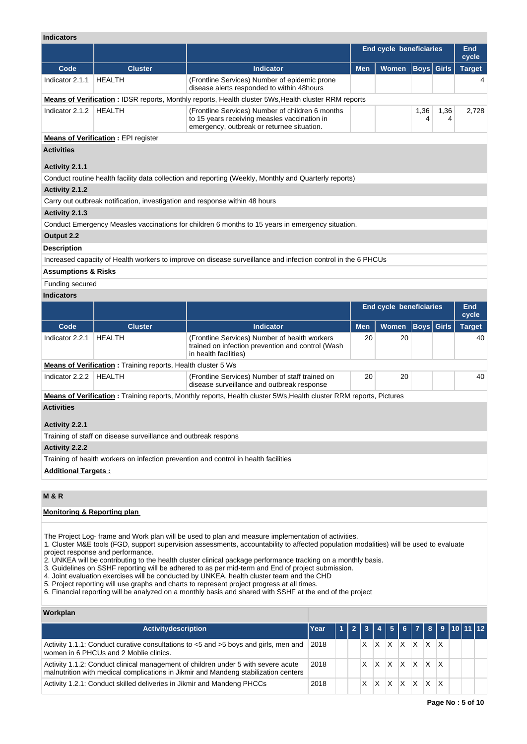| <b>Indicators</b>              |                                                                             |                                                                                                                                                |            |                                |                   |           |               |  |
|--------------------------------|-----------------------------------------------------------------------------|------------------------------------------------------------------------------------------------------------------------------------------------|------------|--------------------------------|-------------------|-----------|---------------|--|
|                                |                                                                             |                                                                                                                                                |            | <b>End cycle beneficiaries</b> |                   |           |               |  |
| Code                           | <b>Cluster</b>                                                              | <b>Indicator</b>                                                                                                                               | <b>Men</b> | Women                          | <b>Boys Girls</b> |           | <b>Target</b> |  |
| Indicator 2.1.1                | <b>HEALTH</b>                                                               | (Frontline Services) Number of epidemic prone<br>disease alerts responded to within 48 hours                                                   |            |                                |                   |           |               |  |
|                                |                                                                             | <b>Means of Verification: IDSR reports, Monthly reports, Health cluster 5Ws, Health cluster RRM reports</b>                                    |            |                                |                   |           |               |  |
| Indicator 2.1.2                | <b>HEALTH</b>                                                               | (Frontline Services) Number of children 6 months<br>to 15 years receiving measles vaccination in<br>emergency, outbreak or returnee situation. |            |                                | 1,36<br>4         | 1,36<br>4 | 2,728         |  |
|                                | <b>Means of Verification: EPI register</b>                                  |                                                                                                                                                |            |                                |                   |           |               |  |
| <b>Activities</b>              |                                                                             |                                                                                                                                                |            |                                |                   |           |               |  |
|                                |                                                                             |                                                                                                                                                |            |                                |                   |           |               |  |
| Activity 2.1.1                 |                                                                             |                                                                                                                                                |            |                                |                   |           |               |  |
|                                |                                                                             | Conduct routine health facility data collection and reporting (Weekly, Monthly and Quarterly reports)                                          |            |                                |                   |           |               |  |
| Activity 2.1.2                 |                                                                             |                                                                                                                                                |            |                                |                   |           |               |  |
|                                | Carry out outbreak notification, investigation and response within 48 hours |                                                                                                                                                |            |                                |                   |           |               |  |
| Activity 2.1.3                 |                                                                             |                                                                                                                                                |            |                                |                   |           |               |  |
|                                |                                                                             | Conduct Emergency Measles vaccinations for children 6 months to 15 years in emergency situation.                                               |            |                                |                   |           |               |  |
| Output 2.2                     |                                                                             |                                                                                                                                                |            |                                |                   |           |               |  |
| <b>Description</b>             |                                                                             |                                                                                                                                                |            |                                |                   |           |               |  |
|                                |                                                                             | Increased capacity of Health workers to improve on disease surveillance and infection control in the 6 PHCUs                                   |            |                                |                   |           |               |  |
| <b>Assumptions &amp; Risks</b> |                                                                             |                                                                                                                                                |            |                                |                   |           |               |  |
| Funding secured                |                                                                             |                                                                                                                                                |            |                                |                   |           |               |  |
| <b>Indicators</b>              |                                                                             |                                                                                                                                                |            |                                |                   |           |               |  |
|                                |                                                                             |                                                                                                                                                |            | <b>End cycle beneficiaries</b> |                   |           | End<br>cycle  |  |
| Code                           | <b>Cluster</b>                                                              | <b>Indicator</b>                                                                                                                               | <b>Men</b> | Women                          | <b>Boys</b> Girls |           | <b>Target</b> |  |
| Indicator 2.2.1                | <b>HEALTH</b>                                                               | (Frontline Services) Number of health workers<br>trained on infection prevention and control (Wash<br>in health facilities)                    | 20         | 20                             |                   |           | 40            |  |
|                                | <b>Means of Verification:</b> Training reports, Health cluster 5 Ws         |                                                                                                                                                |            |                                |                   |           |               |  |
| Indicator 2.2.2                | <b>HEALTH</b>                                                               | (Frontline Services) Number of staff trained on<br>disease surveillance and outbreak response                                                  | 20         | 20                             |                   |           | 40            |  |
|                                |                                                                             | <b>Means of Verification</b> : Training reports, Monthly reports, Health cluster 5Ws, Health cluster RRM reports, Pictures                     |            |                                |                   |           |               |  |
| <b>Activities</b>              |                                                                             |                                                                                                                                                |            |                                |                   |           |               |  |
| Activity 2.2.1                 |                                                                             |                                                                                                                                                |            |                                |                   |           |               |  |
|                                | Training of staff on disease surveillance and outbreak respons              |                                                                                                                                                |            |                                |                   |           |               |  |
| <b>Activity 2.2.2</b>          |                                                                             |                                                                                                                                                |            |                                |                   |           |               |  |
|                                |                                                                             | Training of health workers on infection prevention and control in health facilities                                                            |            |                                |                   |           |               |  |
| <b>Additional Targets:</b>     |                                                                             |                                                                                                                                                |            |                                |                   |           |               |  |

## **M & R**

## **Monitoring & Reporting plan**

The Project Log- frame and Work plan will be used to plan and measure implementation of activities.

1. Cluster M&E tools (FGD, support supervision assessments, accountability to affected population modalities) will be used to evaluate project response and performance.

2. UNKEA will be contributing to the health cluster clinical package performance tracking on a monthly basis.

3. Guidelines on SSHF reporting will be adhered to as per mid-term and End of project submission.

4. Joint evaluation exercises will be conducted by UNKEA, health cluster team and the CHD

5. Project reporting will use graphs and charts to represent project progress at all times.

6. Financial reporting will be analyzed on a monthly basis and shared with SSHF at the end of the project

## **Workplan**

| <b>Activitydescription</b>                                                                                                                                               | Year |  |   |   | 1   2   3   4   5   6   7   8   9  10  11  12 |                   |          |                         |  |  |
|--------------------------------------------------------------------------------------------------------------------------------------------------------------------------|------|--|---|---|-----------------------------------------------|-------------------|----------|-------------------------|--|--|
| Activity 1.1.1: Conduct curative consultations to <5 and >5 boys and girls, men and<br>women in 6 PHCUs and 2 Moblie clinics.                                            | 2018 |  | X | X | <b>X</b>                                      | X.                | IX.      |                         |  |  |
| Activity 1.1.2: Conduct clinical management of children under 5 with severe acute<br>malnutrition with medical complications in Jikmir and Mandeng stabilization centers | 2018 |  | X | X | ΙX.                                           | $\times$ $\times$ |          | $\mathsf{I} \mathsf{X}$ |  |  |
| Activity 1.2.1: Conduct skilled deliveries in Jikmir and Mandeng PHCCs                                                                                                   | 2018 |  | X | X | <sup>X</sup>                                  | X.                | <b>X</b> |                         |  |  |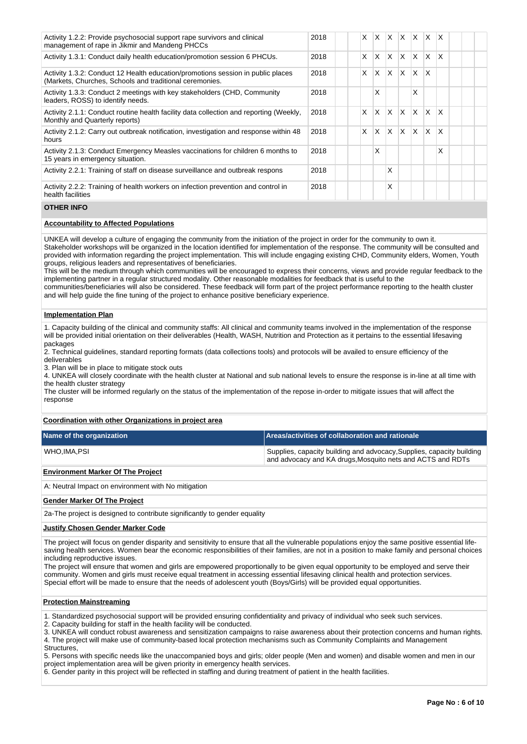| Activity 1.2.2: Provide psychosocial support rape survivors and clinical<br>management of rape in Jikmir and Mandeng PHCCs                 | 2018 | X. | X            | ΙX.          |              | $ X $ $ X $  |              | $\mathsf{I} \mathsf{X}$ |  |  |
|--------------------------------------------------------------------------------------------------------------------------------------------|------|----|--------------|--------------|--------------|--------------|--------------|-------------------------|--|--|
| Activity 1.3.1: Conduct daily health education/promotion session 6 PHCUs.                                                                  | 2018 | X  | X            | ΙX.          | ΙX.          | $\mathsf{X}$ | X.           | X                       |  |  |
| Activity 1.3.2: Conduct 12 Health education/promotions session in public places<br>(Markets, Churches, Schools and traditional ceremonies. | 2018 | X  | $\times$     | X.           | ΙX.          | $\mathsf{X}$ | $\mathsf{x}$ |                         |  |  |
| Activity 1.3.3: Conduct 2 meetings with key stakeholders (CHD, Community<br>leaders, ROSS) to identify needs.                              | 2018 |    | X            |              |              | x            |              |                         |  |  |
| Activity 2.1.1: Conduct routine health facility data collection and reporting (Weekly,<br>Monthly and Quarterly reports)                   | 2018 | X  | $\times$     | ΙX.          | ΙX.          | $\mathsf{X}$ | X.           | X                       |  |  |
| Activity 2.1.2: Carry out outbreak notification, investigation and response within 48<br>hours                                             | 2018 | X  | $\mathsf{x}$ | $\mathsf{x}$ | $\mathsf{X}$ | $\mathsf{X}$ | <b>X</b>     | $\mathsf{x}$            |  |  |
| Activity 2.1.3: Conduct Emergency Measles vaccinations for children 6 months to<br>15 years in emergency situation.                        | 2018 |    | X            |              |              |              |              | X                       |  |  |
| Activity 2.2.1: Training of staff on disease surveillance and outbreak respons                                                             | 2018 |    |              | Χ            |              |              |              |                         |  |  |
| Activity 2.2.2: Training of health workers on infection prevention and control in<br>health facilities                                     | 2018 |    |              | Χ            |              |              |              |                         |  |  |

## **OTHER INFO**

## **Accountability to Affected Populations**

UNKEA will develop a culture of engaging the community from the initiation of the project in order for the community to own it. Stakeholder workshops will be organized in the location identified for implementation of the response. The community will be consulted and provided with information regarding the project implementation. This will include engaging existing CHD, Community elders, Women, Youth groups, religious leaders and representatives of beneficiaries.

This will be the medium through which communities will be encouraged to express their concerns, views and provide regular feedback to the implementing partner in a regular structured modality. Other reasonable modalities for feedback that is useful to the

communities/beneficiaries will also be considered. These feedback will form part of the project performance reporting to the health cluster and will help guide the fine tuning of the project to enhance positive beneficiary experience.

#### **Implementation Plan**

1. Capacity building of the clinical and community staffs: All clinical and community teams involved in the implementation of the response will be provided initial orientation on their deliverables (Health, WASH, Nutrition and Protection as it pertains to the essential lifesaving packages

2. Technical guidelines, standard reporting formats (data collections tools) and protocols will be availed to ensure efficiency of the deliverables

3. Plan will be in place to mitigate stock outs

4. UNKEA will closely coordinate with the health cluster at National and sub national levels to ensure the response is in-line at all time with the health cluster strategy

The cluster will be informed regularly on the status of the implementation of the repose in-order to mitigate issues that will affect the response

## **Coordination with other Organizations in project area**

| Name of the organization | Areas/activities of collaboration and rationale                                                                                     |
|--------------------------|-------------------------------------------------------------------------------------------------------------------------------------|
| WHO.IMA.PSI              | Supplies, capacity building and advocacy, Supplies, capacity building<br>and advocacy and KA drugs, Mosquito nets and ACTS and RDTs |

## **Environment Marker Of The Project**

A: Neutral Impact on environment with No mitigation

#### **Gender Marker Of The Project**

2a-The project is designed to contribute significantly to gender equality

#### **Justify Chosen Gender Marker Code**

The project will focus on gender disparity and sensitivity to ensure that all the vulnerable populations enjoy the same positive essential lifesaving health services. Women bear the economic responsibilities of their families, are not in a position to make family and personal choices including reproductive issues.

The project will ensure that women and girls are empowered proportionally to be given equal opportunity to be employed and serve their community. Women and girls must receive equal treatment in accessing essential lifesaving clinical health and protection services. Special effort will be made to ensure that the needs of adolescent youth (Boys/Girls) will be provided equal opportunities.

#### **Protection Mainstreaming**

1. Standardized psychosocial support will be provided ensuring confidentiality and privacy of individual who seek such services.

2. Capacity building for staff in the health facility will be conducted.

3. UNKEA will conduct robust awareness and sensitization campaigns to raise awareness about their protection concerns and human rights. 4. The project will make use of community-based local protection mechanisms such as Community Complaints and Management Structures.

5. Persons with specific needs like the unaccompanied boys and girls; older people (Men and women) and disable women and men in our project implementation area will be given priority in emergency health services.

6. Gender parity in this project will be reflected in staffing and during treatment of patient in the health facilities.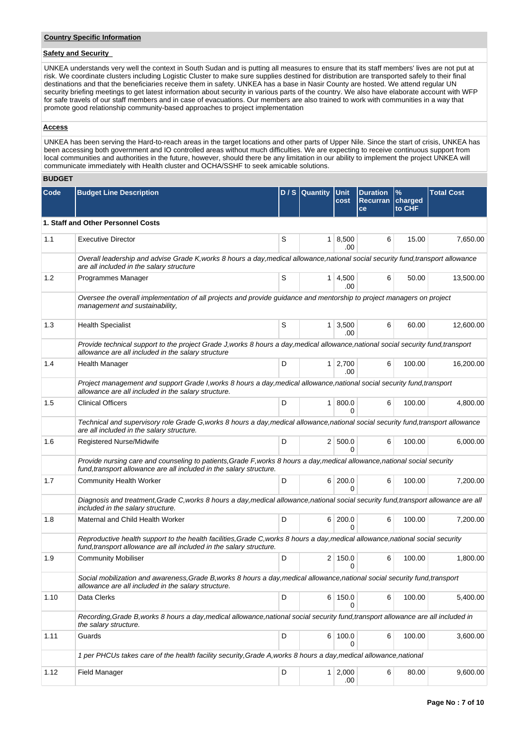## **Safety and Security**

UNKEA understands very well the context in South Sudan and is putting all measures to ensure that its staff members' lives are not put at risk. We coordinate clusters including Logistic Cluster to make sure supplies destined for distribution are transported safely to their final destinations and that the beneficiaries receive them in safety. UNKEA has a base in Nasir County are hosted. We attend regular UN security briefing meetings to get latest information about security in various parts of the country. We also have elaborate account with WFP for safe travels of our staff members and in case of evacuations. Our members are also trained to work with communities in a way that promote good relationship community-based approaches to project implementation

#### **Access**

UNKEA has been serving the Hard-to-reach areas in the target locations and other parts of Upper Nile. Since the start of crisis, UNKEA has been accessing both government and IO controlled areas without much difficulties. We are expecting to receive continuous support from local communities and authorities in the future, however, should there be any limitation in our ability to implement the project UNKEA will communicate immediately with Health cluster and OCHA/SSHF to seek amicable solutions.

## **BUDGET**

| Code | <b>Budget Line Description</b>                                                                                                                                                                         |   | D / S Quantity | <b>Unit</b><br>cost   | <b>Duration</b><br>Recurran charged<br><b>ce</b> | $\%$<br>to CHF | <b>Total Cost</b> |  |  |  |  |
|------|--------------------------------------------------------------------------------------------------------------------------------------------------------------------------------------------------------|---|----------------|-----------------------|--------------------------------------------------|----------------|-------------------|--|--|--|--|
|      | 1. Staff and Other Personnel Costs                                                                                                                                                                     |   |                |                       |                                                  |                |                   |  |  |  |  |
| 1.1  | <b>Executive Director</b>                                                                                                                                                                              | S |                | $1 \, 8,500$<br>.00.  | 6                                                | 15.00          | 7,650.00          |  |  |  |  |
|      | Overall leadership and advise Grade K, works 8 hours a day, medical allowance, national social security fund, transport allowance<br>are all included in the salary structure                          |   |                |                       |                                                  |                |                   |  |  |  |  |
| 1.2  | Programmes Manager                                                                                                                                                                                     | S | 1 <sup>1</sup> | 4,500<br>.00          | 6                                                | 50.00          | 13,500.00         |  |  |  |  |
|      | Oversee the overall implementation of all projects and provide guidance and mentorship to project managers on project<br>management and sustainability,                                                |   |                |                       |                                                  |                |                   |  |  |  |  |
| 1.3  | <b>Health Specialist</b>                                                                                                                                                                               | S | $\mathbf{1}$   | 3,500<br>.00          | 6                                                | 60.00          | 12,600.00         |  |  |  |  |
|      | Provide technical support to the project Grade J, works 8 hours a day, medical allowance, national social security fund, transport<br>allowance are all included in the salary structure               |   |                |                       |                                                  |                |                   |  |  |  |  |
| 1.4  | <b>Health Manager</b>                                                                                                                                                                                  | D |                | $1 \mid 2,700$<br>.00 | 6                                                | 100.00         | 16,200.00         |  |  |  |  |
|      | Project management and support Grade I, works 8 hours a day, medical allowance, national social security fund, transport<br>allowance are all included in the salary structure.                        |   |                |                       |                                                  |                |                   |  |  |  |  |
| 1.5  | <b>Clinical Officers</b>                                                                                                                                                                               | D | 1 <sup>1</sup> | 800.0<br>0            | 6                                                | 100.00         | 4,800.00          |  |  |  |  |
|      | Technical and supervisory role Grade G, works 8 hours a day, medical allowance, national social security fund, transport allowance<br>are all included in the salary structure.                        |   |                |                       |                                                  |                |                   |  |  |  |  |
| 1.6  | Registered Nurse/Midwife                                                                                                                                                                               | D | 2 <sup>1</sup> | 500.0<br>$\Omega$     | 6                                                | 100.00         | 6,000.00          |  |  |  |  |
|      | Provide nursing care and counseling to patients, Grade F, works 8 hours a day, medical allowance, national social security<br>fund, transport allowance are all included in the salary structure.      |   |                |                       |                                                  |                |                   |  |  |  |  |
| 1.7  | <b>Community Health Worker</b>                                                                                                                                                                         | D | 6 <sup>1</sup> | 200.0<br>U            | 6                                                | 100.00         | 7,200.00          |  |  |  |  |
|      | Diagnosis and treatment, Grade C, works 8 hours a day, medical allowance, national social security fund, transport allowance are all<br>included in the salary structure.                              |   |                |                       |                                                  |                |                   |  |  |  |  |
| 1.8  | Maternal and Child Health Worker                                                                                                                                                                       | D |                | 6 200.0<br>0          | 6                                                | 100.00         | 7,200.00          |  |  |  |  |
|      | Reproductive health support to the health facilities, Grade C, works 8 hours a day, medical allowance, national social security<br>fund, transport allowance are all included in the salary structure. |   |                |                       |                                                  |                |                   |  |  |  |  |
| 1.9  | <b>Community Mobiliser</b>                                                                                                                                                                             | D |                | 2 150.0<br>U          | 6                                                | 100.00         | 1,800.00          |  |  |  |  |
|      | Social mobilization and awareness, Grade B, works 8 hours a day, medical allowance, national social security fund, transport<br>allowance are all included in the salary structure.                    |   |                |                       |                                                  |                |                   |  |  |  |  |
| 1.10 | Data Clerks                                                                                                                                                                                            | D |                | 6 150.0<br>0          | 6                                                | 100.00         | 5.400.00          |  |  |  |  |
|      | Recording, Grade B, works 8 hours a day, medical allowance, national social security fund, transport allowance are all included in<br>the salary structure.                                            |   |                |                       |                                                  |                |                   |  |  |  |  |
| 1.11 | Guards                                                                                                                                                                                                 | D |                | 6 100.0<br>0          | 6                                                | 100.00         | 3,600.00          |  |  |  |  |
|      | 1 per PHCUs takes care of the health facility security, Grade A, works 8 hours a day, medical allowance, national                                                                                      |   |                |                       |                                                  |                |                   |  |  |  |  |
| 1.12 | <b>Field Manager</b>                                                                                                                                                                                   | D | 1              | 2,000<br>.00          | 6                                                | 80.00          | 9,600.00          |  |  |  |  |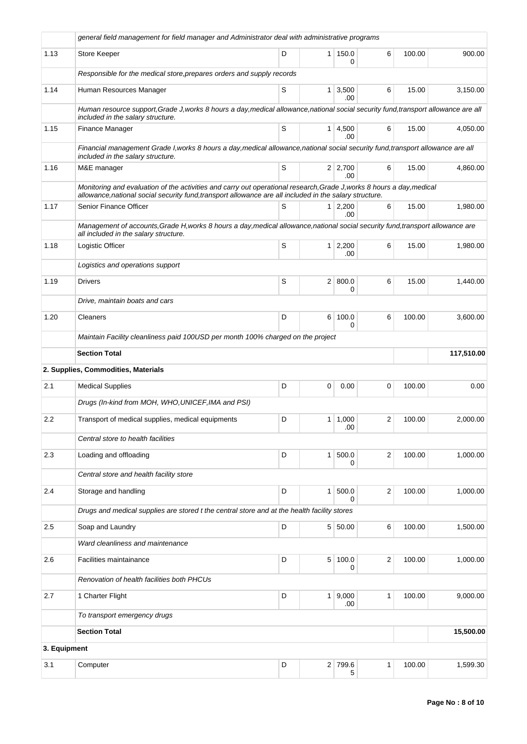|              | general field management for field manager and Administrator deal with administrative programs                                                                                                                                   |   |                |                        |                         |        |            |
|--------------|----------------------------------------------------------------------------------------------------------------------------------------------------------------------------------------------------------------------------------|---|----------------|------------------------|-------------------------|--------|------------|
| 1.13         | Store Keeper                                                                                                                                                                                                                     | D | 1 <sup>1</sup> | 150.0<br>0             | 6                       | 100.00 | 900.00     |
|              | Responsible for the medical store, prepares orders and supply records                                                                                                                                                            |   |                |                        |                         |        |            |
| 1.14         | Human Resources Manager                                                                                                                                                                                                          | S |                | $1 \mid 3,500$<br>.00  | 6                       | 15.00  | 3,150.00   |
|              | Human resource support, Grade J, works 8 hours a day, medical allowance, national social security fund, transport allowance are all<br>included in the salary structure.                                                         |   |                |                        |                         |        |            |
| 1.15         | Finance Manager                                                                                                                                                                                                                  | S |                | $1 \mid 4,500$<br>.00. | 6                       | 15.00  | 4,050.00   |
|              | Financial management Grade I, works 8 hours a day, medical allowance, national social security fund, transport allowance are all<br>included in the salary structure.                                                            |   |                |                        |                         |        |            |
| 1.16         | M&E manager                                                                                                                                                                                                                      | S |                | $2 \mid 2,700$<br>.00  | 6                       | 15.00  | 4,860.00   |
|              | Monitoring and evaluation of the activities and carry out operational research, Grade J, works 8 hours a day, medical<br>allowance, national social security fund, transport allowance are all included in the salary structure. |   |                |                        |                         |        |            |
| 1.17         | Senior Finance Officer                                                                                                                                                                                                           | S |                | $1 \mid 2,200$<br>.00. | 6                       | 15.00  | 1,980.00   |
|              | Management of accounts, Grade H, works 8 hours a day, medical allowance, national social security fund, transport allowance are<br>all included in the salary structure.                                                         |   |                |                        |                         |        |            |
| 1.18         | Logistic Officer                                                                                                                                                                                                                 | S |                | $1 \mid 2,200$<br>.00  | 6                       | 15.00  | 1,980.00   |
|              | Logistics and operations support                                                                                                                                                                                                 |   |                |                        |                         |        |            |
| 1.19         | <b>Drivers</b>                                                                                                                                                                                                                   | S |                | 2   800.0<br>0         | 6                       | 15.00  | 1,440.00   |
|              | Drive, maintain boats and cars                                                                                                                                                                                                   |   |                |                        |                         |        |            |
| 1.20         | Cleaners                                                                                                                                                                                                                         | D | 6              | 100.0<br>0             | 6                       | 100.00 | 3,600.00   |
|              | Maintain Facility cleanliness paid 100USD per month 100% charged on the project                                                                                                                                                  |   |                |                        |                         |        |            |
|              | <b>Section Total</b>                                                                                                                                                                                                             |   |                |                        |                         |        | 117,510.00 |
|              | 2. Supplies, Commodities, Materials                                                                                                                                                                                              |   |                |                        |                         |        |            |
| 2.1          | <b>Medical Supplies</b>                                                                                                                                                                                                          | D | 0              | 0.00                   | 0                       | 100.00 | 0.00       |
|              | Drugs (In-kind from MOH, WHO, UNICEF, IMA and PSI)                                                                                                                                                                               |   |                |                        |                         |        |            |
| 2.2          | Transport of medical supplies, medical equipments                                                                                                                                                                                | D |                | $1 \mid 1,000$<br>.00  | 2                       | 100.00 | 2,000.00   |
|              | Central store to health facilities                                                                                                                                                                                               |   |                |                        |                         |        |            |
| 2.3          | Loading and offloading                                                                                                                                                                                                           | D | $\mathbf{1}$   | 500.0<br>0             | $\overline{\mathbf{c}}$ | 100.00 | 1,000.00   |
|              | Central store and health facility store                                                                                                                                                                                          |   |                |                        |                         |        |            |
| 2.4          | Storage and handling                                                                                                                                                                                                             | D | $\mathbf{1}$   | 500.0<br>0             | 2                       | 100.00 | 1,000.00   |
|              | Drugs and medical supplies are stored t the central store and at the health facility stores                                                                                                                                      |   |                |                        |                         |        |            |
| 2.5          | Soap and Laundry                                                                                                                                                                                                                 | D |                | 5 50.00                | 6                       | 100.00 | 1,500.00   |
|              | Ward cleanliness and maintenance                                                                                                                                                                                                 |   |                |                        |                         |        |            |
| 2.6          | Facilities maintainance                                                                                                                                                                                                          | D | 5 <sup>5</sup> | 100.0<br>0             | 2                       | 100.00 | 1,000.00   |
|              | Renovation of health facilities both PHCUs                                                                                                                                                                                       |   |                |                        |                         |        |            |
| 2.7          | 1 Charter Flight                                                                                                                                                                                                                 | D | 1 <sup>1</sup> | 9,000<br>.00           | 1                       | 100.00 | 9,000.00   |
|              | To transport emergency drugs                                                                                                                                                                                                     |   |                |                        |                         |        |            |
|              | <b>Section Total</b>                                                                                                                                                                                                             |   |                |                        |                         |        | 15,500.00  |
| 3. Equipment |                                                                                                                                                                                                                                  |   |                |                        |                         |        |            |
| 3.1          | Computer                                                                                                                                                                                                                         | D |                | 2 799.6<br>5           | 1                       | 100.00 | 1,599.30   |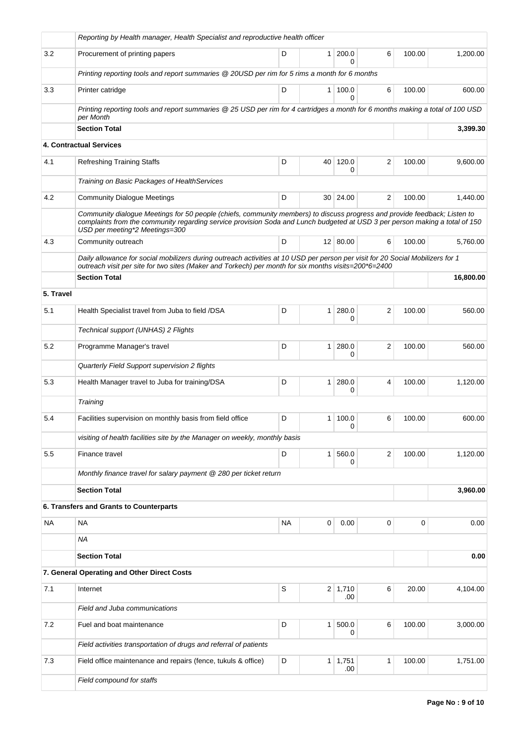|           | Reporting by Health manager, Health Specialist and reproductive health officer                                                                                                                                                                                                             |           |                |                       |                |        |           |  |  |  |
|-----------|--------------------------------------------------------------------------------------------------------------------------------------------------------------------------------------------------------------------------------------------------------------------------------------------|-----------|----------------|-----------------------|----------------|--------|-----------|--|--|--|
| 3.2       | Procurement of printing papers                                                                                                                                                                                                                                                             | D         | 1              | 200.0<br><sup>0</sup> | 6              | 100.00 | 1,200.00  |  |  |  |
|           | Printing reporting tools and report summaries @ 20USD per rim for 5 rims a month for 6 months                                                                                                                                                                                              |           |                |                       |                |        |           |  |  |  |
| 3.3       | Printer catridge                                                                                                                                                                                                                                                                           | D         | 1 <sup>1</sup> | 100.0<br>0            | 6              | 100.00 | 600.00    |  |  |  |
|           | Printing reporting tools and report summaries @ 25 USD per rim for 4 cartridges a month for 6 months making a total of 100 USD<br>per Month                                                                                                                                                |           |                |                       |                |        |           |  |  |  |
|           | <b>Section Total</b>                                                                                                                                                                                                                                                                       |           |                |                       |                |        | 3,399.30  |  |  |  |
|           | <b>4. Contractual Services</b>                                                                                                                                                                                                                                                             |           |                |                       |                |        |           |  |  |  |
| 4.1       | <b>Refreshing Training Staffs</b>                                                                                                                                                                                                                                                          | D         | 40             | 120.0<br>0            | $\overline{2}$ | 100.00 | 9,600.00  |  |  |  |
|           | Training on Basic Packages of HealthServices                                                                                                                                                                                                                                               |           |                |                       |                |        |           |  |  |  |
| 4.2       | <b>Community Dialogue Meetings</b>                                                                                                                                                                                                                                                         | D         |                | 30   24.00            | $\overline{2}$ | 100.00 | 1,440.00  |  |  |  |
|           | Community dialogue Meetings for 50 people (chiefs, community members) to discuss progress and provide feedback; Listen to<br>complaints from the community regarding service provision Soda and Lunch budgeted at USD 3 per person making a total of 150<br>USD per meeting*2 Meetings=300 |           |                |                       |                |        |           |  |  |  |
| 4.3       | Community outreach                                                                                                                                                                                                                                                                         | D         |                | 12 80.00              | 6              | 100.00 | 5,760.00  |  |  |  |
|           | Daily allowance for social mobilizers during outreach activities at 10 USD per person per visit for 20 Social Mobilizers for 1<br>outreach visit per site for two sites (Maker and Torkech) per month for six months visits=200*6=2400                                                     |           |                |                       |                |        |           |  |  |  |
|           | <b>Section Total</b>                                                                                                                                                                                                                                                                       |           |                |                       |                |        | 16,800.00 |  |  |  |
| 5. Travel |                                                                                                                                                                                                                                                                                            |           |                |                       |                |        |           |  |  |  |
| 5.1       | Health Specialist travel from Juba to field /DSA                                                                                                                                                                                                                                           | D         | $\mathbf{1}$   | 280.0<br>0            | $\overline{2}$ | 100.00 | 560.00    |  |  |  |
|           | Technical support (UNHAS) 2 Flights                                                                                                                                                                                                                                                        |           |                |                       |                |        |           |  |  |  |
| 5.2       | Programme Manager's travel                                                                                                                                                                                                                                                                 | D         | 1              | 280.0<br>0            | $\overline{2}$ | 100.00 | 560.00    |  |  |  |
|           | Quarterly Field Support supervision 2 flights                                                                                                                                                                                                                                              |           |                |                       |                |        |           |  |  |  |
| 5.3       | Health Manager travel to Juba for training/DSA                                                                                                                                                                                                                                             | D         | $\mathbf{1}$   | 280.0<br>0            | 4              | 100.00 | 1,120.00  |  |  |  |
|           | Training                                                                                                                                                                                                                                                                                   |           |                |                       |                |        |           |  |  |  |
| 5.4       | Facilities supervision on monthly basis from field office                                                                                                                                                                                                                                  | D         | 1              | 100.0<br>0            | 6              | 100.00 | 600.00    |  |  |  |
|           | visiting of health facilities site by the Manager on weekly, monthly basis                                                                                                                                                                                                                 |           |                |                       |                |        |           |  |  |  |
| 5.5       | Finance travel                                                                                                                                                                                                                                                                             | D         | $\mathbf{1}$   | 560.0<br>0            | $\overline{c}$ | 100.00 | 1,120.00  |  |  |  |
|           | Monthly finance travel for salary payment @ 280 per ticket return                                                                                                                                                                                                                          |           |                |                       |                |        |           |  |  |  |
|           | <b>Section Total</b>                                                                                                                                                                                                                                                                       |           |                |                       |                |        | 3,960.00  |  |  |  |
|           | 6. Transfers and Grants to Counterparts                                                                                                                                                                                                                                                    |           |                |                       |                |        |           |  |  |  |
| <b>NA</b> | NA                                                                                                                                                                                                                                                                                         | <b>NA</b> | 0              | 0.00                  | 0              | 0      | 0.00      |  |  |  |
|           | <b>NA</b>                                                                                                                                                                                                                                                                                  |           |                |                       |                |        |           |  |  |  |
|           | <b>Section Total</b>                                                                                                                                                                                                                                                                       |           |                |                       |                |        | 0.00      |  |  |  |
|           | 7. General Operating and Other Direct Costs                                                                                                                                                                                                                                                |           |                |                       |                |        |           |  |  |  |
| 7.1       | Internet                                                                                                                                                                                                                                                                                   | S         |                | $2 \mid 1,710$<br>.00 | 6              | 20.00  | 4,104.00  |  |  |  |
|           | Field and Juba communications                                                                                                                                                                                                                                                              |           |                |                       |                |        |           |  |  |  |
| 7.2       | Fuel and boat maintenance                                                                                                                                                                                                                                                                  | D         | $\mathbf{1}$   | 500.0<br>0            | 6              | 100.00 | 3,000.00  |  |  |  |
|           | Field activities transportation of drugs and referral of patients                                                                                                                                                                                                                          |           |                |                       |                |        |           |  |  |  |
| 7.3       | Field office maintenance and repairs (fence, tukuls & office)                                                                                                                                                                                                                              | D         | 1              | 1,751<br>.00          | 1              | 100.00 | 1,751.00  |  |  |  |
|           | Field compound for staffs                                                                                                                                                                                                                                                                  |           |                |                       |                |        |           |  |  |  |